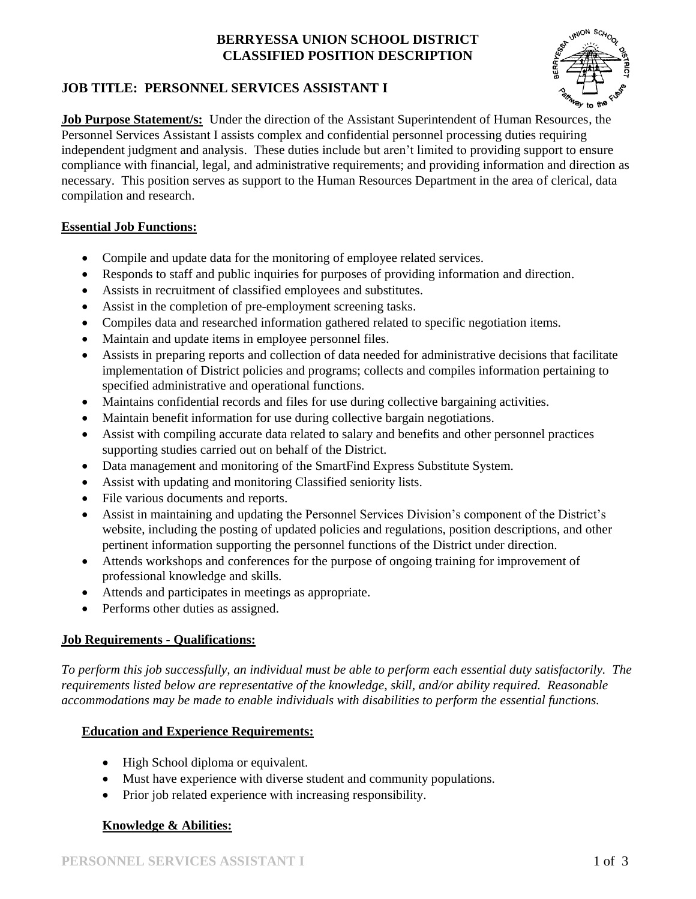## **BERRYESSA UNION SCHOOL DISTRICT CLASSIFIED POSITION DESCRIPTION**



## **JOB TITLE: PERSONNEL SERVICES ASSISTANT I**

**Job Purpose Statement/s:** Under the direction of the Assistant Superintendent of Human Resources, the Personnel Services Assistant I assists complex and confidential personnel processing duties requiring independent judgment and analysis. These duties include but aren't limited to providing support to ensure compliance with financial, legal, and administrative requirements; and providing information and direction as necessary. This position serves as support to the Human Resources Department in the area of clerical, data compilation and research.

### **Essential Job Functions:**

- Compile and update data for the monitoring of employee related services.
- Responds to staff and public inquiries for purposes of providing information and direction.
- Assists in recruitment of classified employees and substitutes.
- Assist in the completion of pre-employment screening tasks.
- Compiles data and researched information gathered related to specific negotiation items.
- Maintain and update items in employee personnel files.
- Assists in preparing reports and collection of data needed for administrative decisions that facilitate implementation of District policies and programs; collects and compiles information pertaining to specified administrative and operational functions.
- Maintains confidential records and files for use during collective bargaining activities.
- Maintain benefit information for use during collective bargain negotiations.
- Assist with compiling accurate data related to salary and benefits and other personnel practices supporting studies carried out on behalf of the District.
- Data management and monitoring of the SmartFind Express Substitute System.
- Assist with updating and monitoring Classified seniority lists.
- File various documents and reports.
- Assist in maintaining and updating the Personnel Services Division's component of the District's website, including the posting of updated policies and regulations, position descriptions, and other pertinent information supporting the personnel functions of the District under direction.
- Attends workshops and conferences for the purpose of ongoing training for improvement of professional knowledge and skills.
- Attends and participates in meetings as appropriate.
- Performs other duties as assigned.

### **Job Requirements - Qualifications:**

*To perform this job successfully, an individual must be able to perform each essential duty satisfactorily. The requirements listed below are representative of the knowledge, skill, and/or ability required. Reasonable accommodations may be made to enable individuals with disabilities to perform the essential functions.*

### **Education and Experience Requirements:**

- High School diploma or equivalent.
- Must have experience with diverse student and community populations.
- Prior job related experience with increasing responsibility.

### **Knowledge & Abilities:**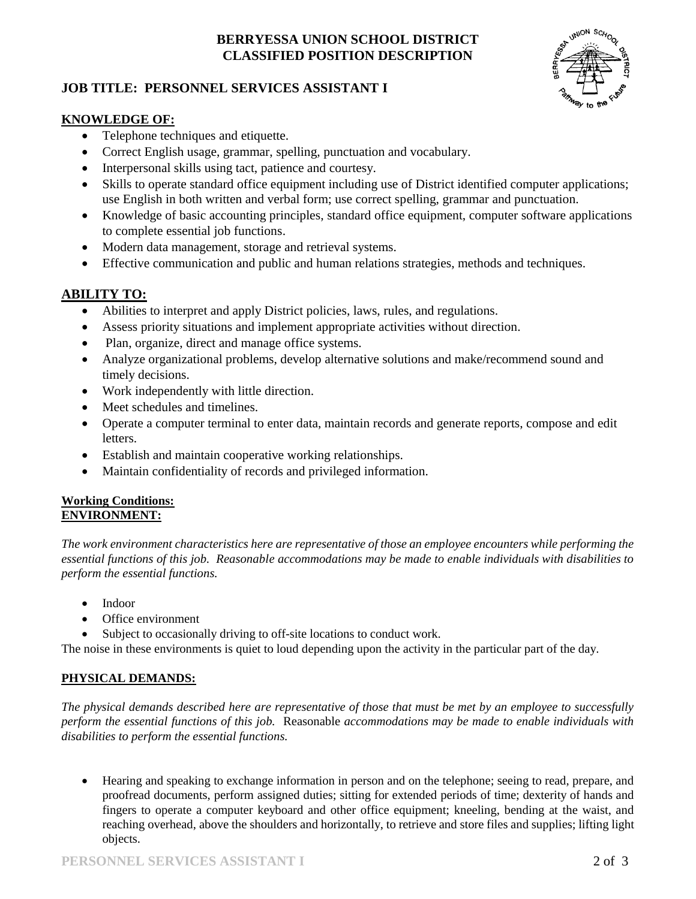# **BERRYESSA UNION SCHOOL DISTRICT CLASSIFIED POSITION DESCRIPTION**

## **JOB TITLE: PERSONNEL SERVICES ASSISTANT I**



#### **KNOWLEDGE OF:**

- Telephone techniques and etiquette.
- Correct English usage, grammar, spelling, punctuation and vocabulary.
- Interpersonal skills using tact, patience and courtesy.
- Skills to operate standard office equipment including use of District identified computer applications; use English in both written and verbal form; use correct spelling, grammar and punctuation.
- Knowledge of basic accounting principles, standard office equipment, computer software applications to complete essential job functions.
- Modern data management, storage and retrieval systems.
- Effective communication and public and human relations strategies, methods and techniques.

# **ABILITY TO:**

- Abilities to interpret and apply District policies, laws, rules, and regulations.
- Assess priority situations and implement appropriate activities without direction.
- Plan, organize, direct and manage office systems.
- Analyze organizational problems, develop alternative solutions and make/recommend sound and timely decisions.
- Work independently with little direction.
- Meet schedules and timelines.
- Operate a computer terminal to enter data, maintain records and generate reports, compose and edit letters.
- Establish and maintain cooperative working relationships.
- Maintain confidentiality of records and privileged information.

#### **Working Conditions: ENVIRONMENT:**

*The work environment characteristics here are representative of those an employee encounters while performing the essential functions of this job. Reasonable accommodations may be made to enable individuals with disabilities to perform the essential functions.*

- Indoor
- Office environment
- Subject to occasionally driving to off-site locations to conduct work.

The noise in these environments is quiet to loud depending upon the activity in the particular part of the day.

### **PHYSICAL DEMANDS:**

*The physical demands described here are representative of those that must be met by an employee to successfully perform the essential functions of this job.* Reasonable *accommodations may be made to enable individuals with disabilities to perform the essential functions.*

 Hearing and speaking to exchange information in person and on the telephone; seeing to read, prepare, and proofread documents, perform assigned duties; sitting for extended periods of time; dexterity of hands and fingers to operate a computer keyboard and other office equipment; kneeling, bending at the waist, and reaching overhead, above the shoulders and horizontally, to retrieve and store files and supplies; lifting light objects.